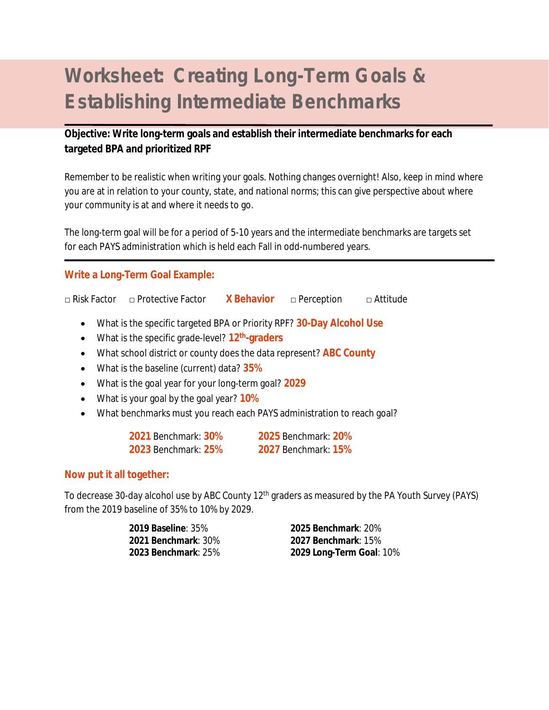## **Worksheet: Creating Long-Term Goals & Establishing Intermediate Benchmarks**

## **Objective: Write long-term goals and establish their intermediate benchmarks for each targeted BPA and prioritized RPF**

Remember to be realistic when writing your goals. Nothing changes overnight! Also, keep in mind where you are at in relation to your county, state, and national norms; this can give perspective about where your community is at and where it needs to go.

The long-term goal will be for a period of 5-10 years and the intermediate benchmarks are targets set for each PAYS administration which is held each Fall in odd-numbered years.

## **Write a Long-Term Goal Example:**

```
□ Risk Factor □ Protective Factor X Behavior □ Perception □ Attitude
```
- What is the specific targeted BPA or Priority RPF? **30-Day Alcohol Use**
- What is the specific grade-level? **12th-graders**
- What school district or county does the data represent? **ABC County**
- What is the baseline (current) data? **35%**
- What is the goal year for your long-term goal? **2029**
- What is your goal by the goal year? **10%**
- What benchmarks must you reach each PAYS administration to reach goal?

| <b>2021 Benchmark: 30%</b> | <b>2025 Benchmark: 20%</b> |
|----------------------------|----------------------------|
| <b>2023 Benchmark: 25%</b> | <b>2027 Benchmark: 15%</b> |

## **Now put it all together:**

To decrease 30-day alcohol use by ABC County 12th graders as measured by the PA Youth Survey (PAYS) from the 2019 baseline of 35% to 10% by 2029.

**2019 Baseline**: 35% **2025 Benchmark**: 20% **2021 Benchmark**: 30% **2027 Benchmark**: 15% **2023 Benchmark**: 25% **2029 Long-Term Goal**: 10%